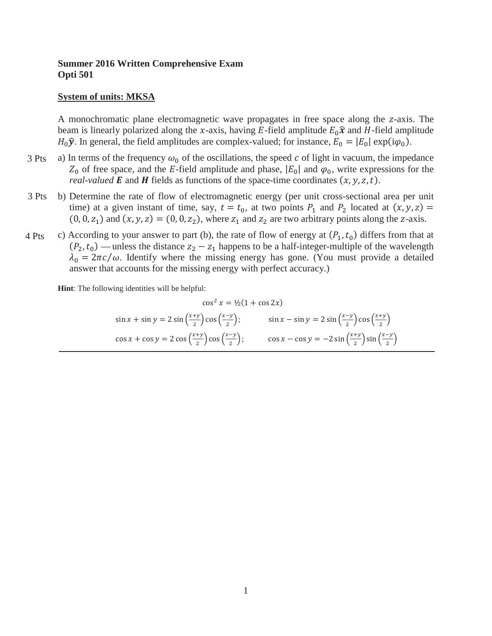## **Summer 2016 Written Comprehensive Exam Opti 501**

#### **System of units: MKSA**

A monochromatic plane electromagnetic wave propagates in free space along the z-axis. The beam is linearly polarized along the x-axis, having E-field amplitude  $E_0\hat{x}$  and H-field amplitude  $H_0 \hat{\mathbf{y}}$ . In general, the field amplitudes are complex-valued; for instance,  $E_0 = |E_0| \exp(i\varphi_0)$ .

- a) In terms of the frequency  $\omega_0$  of the oscillations, the speed c of light in vacuum, the impedance  $Z_0$  of free space, and the E-field amplitude and phase,  $|E_0|$  and  $\varphi_0$ , write expressions for the *real-valued* **E** and **H** fields as functions of the space-time coordinates  $(x, y, z, t)$ . 3 Pts
- b) Determine the rate of flow of electromagnetic energy (per unit cross-sectional area per unit time) at a given instant of time, say,  $t = t_0$ , at two points  $P_1$  and  $P_2$  located at  $(x, y, z) =$  $(0, 0, z<sub>1</sub>)$  and  $(x, y, z) = (0, 0, z<sub>2</sub>)$ , where  $z<sub>1</sub>$  and  $z<sub>2</sub>$  are two arbitrary points along the z-axis. 3 Pts
- c) According to your answer to part (b), the rate of flow of energy at  $(P_1, t_0)$  differs from that at  $(P_2, t_0)$  — unless the distance  $z_2 - z_1$  happens to be a half-integer-multiple of the wavelength  $\lambda_0 = 2\pi c/\omega$ . Identify where the missing energy has gone. (You must provide a detailed answer that accounts for the missing energy with perfect accuracy.) 4 Pts

**Hint**: The following identities will be helpful:

$$
\cos^2 x = \frac{1}{2}(1 + \cos 2x)
$$
  
\n
$$
\sin x + \sin y = 2\sin\left(\frac{x+y}{2}\right)\cos\left(\frac{x-y}{2}\right); \qquad \sin x - \sin y = 2\sin\left(\frac{x-y}{2}\right)\cos\left(\frac{x+y}{2}\right)
$$
  
\n
$$
\cos x + \cos y = 2\cos\left(\frac{x+y}{2}\right)\cos\left(\frac{x-y}{2}\right); \qquad \cos x - \cos y = -2\sin\left(\frac{x+y}{2}\right)\sin\left(\frac{x-y}{2}\right)
$$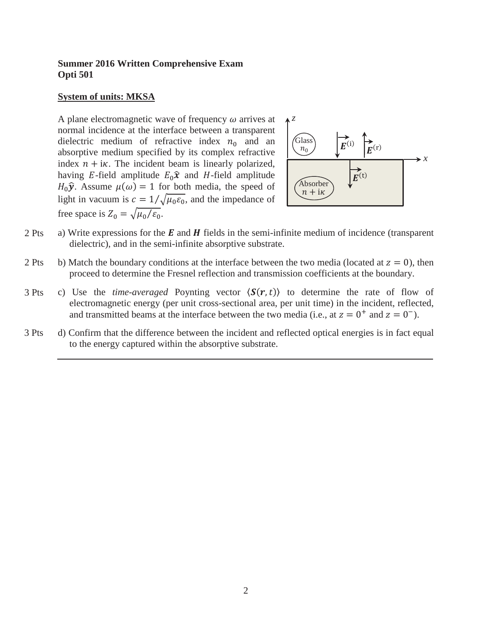## **Summer 2016 Written Comprehensive Exam Opti 501**

#### **System of units: MKSA**

A plane electromagnetic wave of frequency  $\omega$  arrives at normal incidence at the interface between a transparent dielectric medium of refractive index  $n_0$  and an absorptive medium specified by its complex refractive index  $n + i\kappa$ . The incident beam is linearly polarized, having E-field amplitude  $E_0\hat{x}$  and H-field amplitude  $H_0 \hat{\mathbf{y}}$ . Assume  $\mu(\omega) = 1$  for both media, the speed of light in vacuum is  $c = 1/\sqrt{\mu_0 \varepsilon_0}$ , and the impedance of free space is  $Z_0 = \sqrt{\mu_0/\varepsilon_0}$ .



- a) Write expressions for the  $E$  and  $H$  fields in the semi-infinite medium of incidence (transparent dielectric), and in the semi-infinite absorptive substrate. 2 Pts
- b) Match the boundary conditions at the interface between the two media (located at  $z = 0$ ), then proceed to determine the Fresnel reflection and transmission coefficients at the boundary. 2 Pts
- c) Use the *time-averaged* Poynting vector  $\langle S(r,t) \rangle$  to determine the rate of flow of electromagnetic energy (per unit cross-sectional area, per unit time) in the incident, reflected, and transmitted beams at the interface between the two media (i.e., at  $z = 0^+$  and  $z = 0^-$ ). 3 Pts
- d) Confirm that the difference between the incident and reflected optical energies is in fact equal to the energy captured within the absorptive substrate. 3 Pts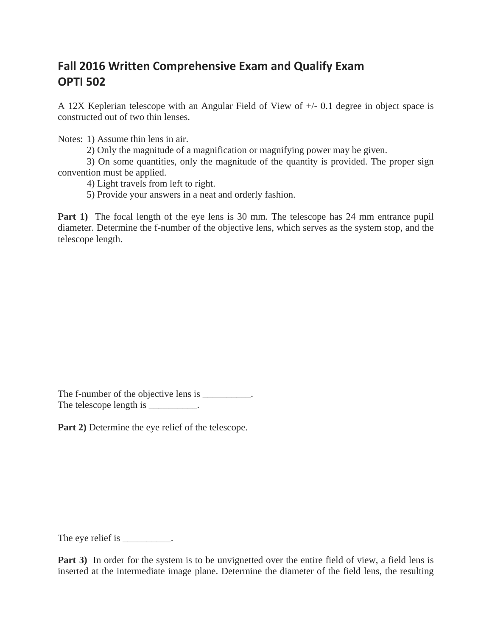# **Fall 2016 Written Comprehensive Exam and Qualify Exam OPTI 502**

A 12X Keplerian telescope with an Angular Field of View of +/- 0.1 degree in object space is constructed out of two thin lenses.

Notes: 1) Assume thin lens in air.

2) Only the magnitude of a magnification or magnifying power may be given.

 3) On some quantities, only the magnitude of the quantity is provided. The proper sign convention must be applied.

4) Light travels from left to right.

5) Provide your answers in a neat and orderly fashion.

**Part 1)** The focal length of the eye lens is 30 mm. The telescope has 24 mm entrance pupil diameter. Determine the f-number of the objective lens, which serves as the system stop, and the telescope length.

The f-number of the objective lens is \_\_\_\_\_\_\_\_\_. The telescope length is \_\_\_\_\_\_\_\_\_.

**Part 2)** Determine the eye relief of the telescope.

The eye relief is \_\_\_\_\_\_\_\_\_\_.

**Part 3)** In order for the system is to be unvignetted over the entire field of view, a field lens is inserted at the intermediate image plane. Determine the diameter of the field lens, the resulting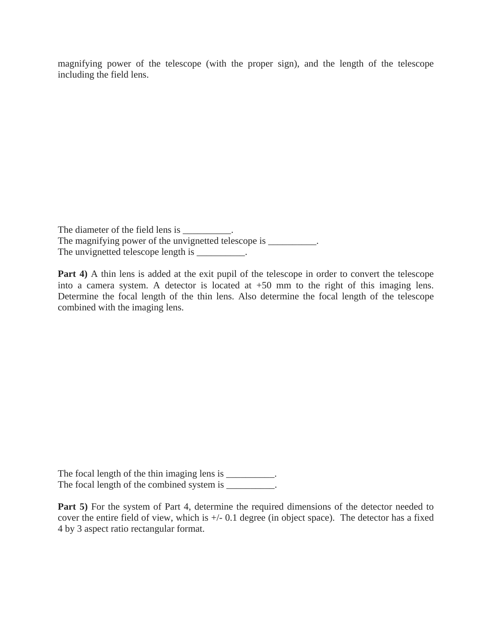magnifying power of the telescope (with the proper sign), and the length of the telescope including the field lens.

The diameter of the field lens is \_\_\_\_\_\_\_\_\_\_. The magnifying power of the unvignetted telescope is \_\_\_\_\_\_\_\_\_. The unvignetted telescope length is \_\_\_\_\_\_\_\_\_\_.

**Part 4)** A thin lens is added at the exit pupil of the telescope in order to convert the telescope into a camera system. A detector is located at +50 mm to the right of this imaging lens. Determine the focal length of the thin lens. Also determine the focal length of the telescope combined with the imaging lens.

The focal length of the thin imaging lens is \_\_\_\_\_\_\_\_\_. The focal length of the combined system is \_\_\_\_\_\_\_\_\_.

**Part 5)** For the system of Part 4, determine the required dimensions of the detector needed to cover the entire field of view, which is +/- 0.1 degree (in object space). The detector has a fixed 4 by 3 aspect ratio rectangular format.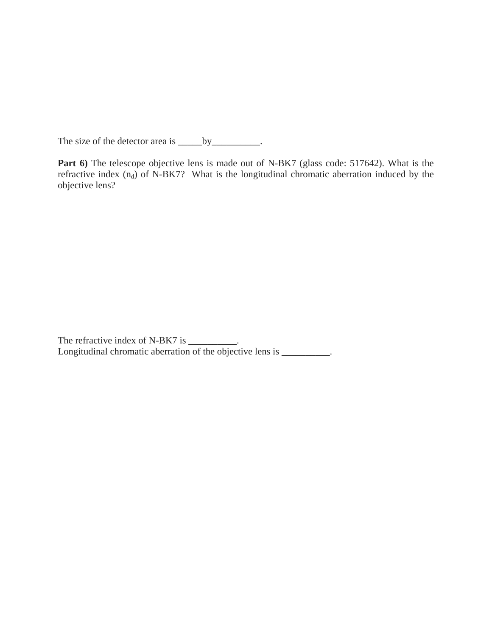The size of the detector area is \_\_\_\_\_\_\_\_\_\_\_\_\_\_\_\_\_.

Part 6) The telescope objective lens is made out of N-BK7 (glass code: 517642). What is the refractive index  $(n_d)$  of N-BK7? What is the longitudinal chromatic aberration induced by the objective lens?

The refractive index of N-BK7 is \_\_\_\_\_\_\_\_\_. Longitudinal chromatic aberration of the objective lens is \_\_\_\_\_\_\_\_\_.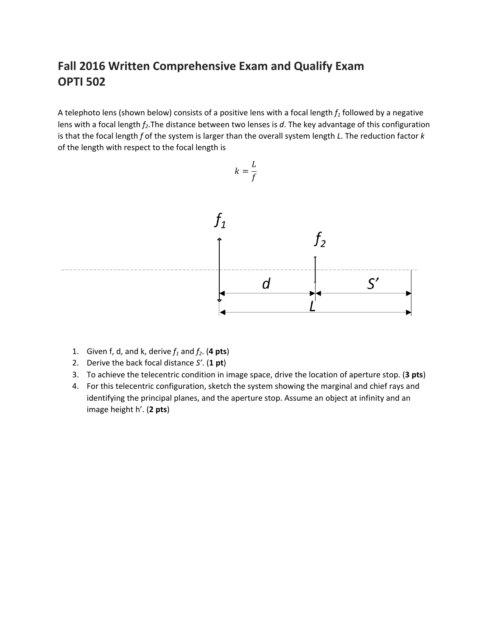# **Fall 2016 Written Comprehensive Exam and Qualify Exam OPTI 502**

A telephoto lens (shown below) consists of a positive lens with a focal length  $f_1$  followed by a negative lens with a focal length  $f_2$ . The distance between two lenses is d. The key advantage of this configuration is that the focal length *f* of the system is larger than the overall system length *L*. The reduction factor *k* of the length with respect to the focal length is



- 1. Given f, d, and k, derive  $f_1$  and  $f_2$ . (4 pts)
- 2. Derive the back focal distance *S'*. (**1 pt**)
- 3. To achieve the telecentric condition in image space, drive the location of aperture stop. (**3 pts**)
- 4. For this telecentric configuration, sketch the system showing the marginal and chief rays and identifying the principal planes, and the aperture stop. Assume an object at infinity and an image height h'. (**2 pts**)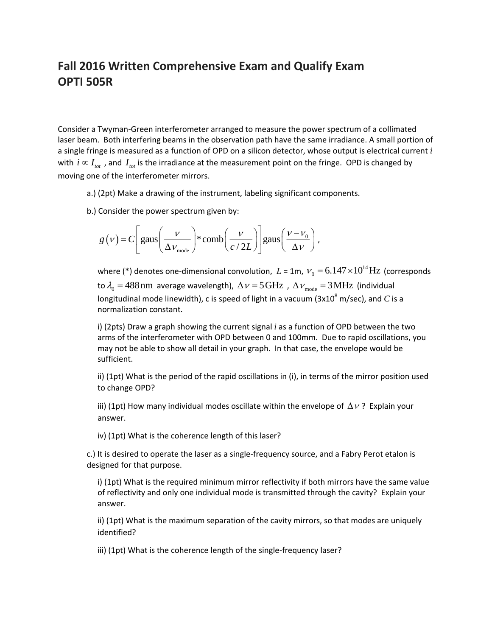## **Fall 2016 Written Comprehensive Exam and Qualify Exam OPTI 505R**

Consider a Twyman‐Green interferometer arranged to measure the power spectrum of a collimated laser beam. Both interfering beams in the observation path have the same irradiance. A small portion of a single fringe is measured as a function of OPD on a silicon detector, whose output is electrical current *i* with  $i \propto I_{tot}$ , and  $I_{tot}$  is the irradiance at the measurement point on the fringe. OPD is changed by moving one of the interferometer mirrors.

- a.) (2pt) Make a drawing of the instrument, labeling significant components.
- b.) Consider the power spectrum given by:

$$
g(v) = C \left[ \text{gaus}\left(\frac{v}{\Delta v_{\text{mode}}}\right) * \text{comb}\left(\frac{v}{c/2L}\right) \right] \text{gaus}\left(\frac{v - v_0}{\Delta v}\right),
$$

where (\*) denotes one-dimensional convolution,  $L$  = 1m,  $V_{0} = 6.147\times\!10^{14}\,\mathrm{Hz}$  (corresponds to  $\lambda_0 = 488$  nm average wavelength),  $\Delta v = 5 \text{GHz}$ ,  $\Delta v_{\text{mode}} = 3 \text{MHz}$  (individual longitudinal mode linewidth), c is speed of light in a vacuum  $(3x10^8 \text{ m/sec})$ , and *C* is a normalization constant.

i) (2pts) Draw a graph showing the current signal *i* as a function of OPD between the two arms of the interferometer with OPD between 0 and 100mm. Due to rapid oscillations, you may not be able to show all detail in your graph. In that case, the envelope would be sufficient.

ii) (1pt) What is the period of the rapid oscillations in (i), in terms of the mirror position used to change OPD?

iii) (1pt) How many individual modes oscillate within the envelope of  $\Delta v$ ? Explain your answer.

iv) (1pt) What is the coherence length of this laser?

c.) It is desired to operate the laser as a single‐frequency source, and a Fabry Perot etalon is designed for that purpose.

i) (1pt) What is the required minimum mirror reflectivity if both mirrors have the same value of reflectivity and only one individual mode is transmitted through the cavity? Explain your answer.

ii) (1pt) What is the maximum separation of the cavity mirrors, so that modes are uniquely identified?

iii) (1pt) What is the coherence length of the single-frequency laser?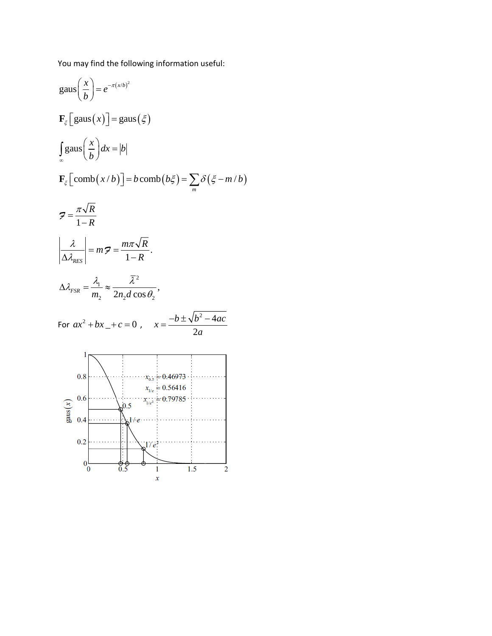You may find the following information useful:

gaus 
$$
\left(\frac{x}{b}\right) = e^{-\pi(x/b)^2}
$$
  
\n
$$
\mathbf{F}_{\xi}\left[\text{gaus}\left(x\right)\right] = \text{gaus}\left(\xi\right)
$$
\n
$$
\int_{\infty}^{\infty} \text{gaus}\left(\frac{x}{b}\right) dx = |b|
$$
\n
$$
\mathbf{F}_{\xi}\left[\text{comb}\left(x/b\right)\right] = b \text{ comb}\left(b\xi\right) = \sum_{m} \delta\left(\xi - m/b\right)
$$
\n
$$
7 = \frac{\pi\sqrt{R}}{1-R}
$$
\n
$$
\left|\frac{\lambda}{\Delta\lambda_{RES}}\right| = m \cdot 7 = \frac{m\pi\sqrt{R}}{1-R}.
$$
\n
$$
\Delta\lambda_{FSR} = \frac{\lambda_1}{m_2} \approx \frac{\overline{\lambda}^2}{2n_2d\cos\theta_2},
$$
\nFor  $ax^2 + bx_+ + c = 0$ ,  $x = \frac{-b \pm \sqrt{b^2 - 4ac}}{2a}$   
\n
$$
0.8
$$
\n
$$
\lambda_{V_{\xi}} = 0.56416
$$
\n
$$
\lambda_{V_{\xi}} = 0.56416
$$
\n
$$
\lambda_{V_{\xi}} = 0.56416
$$
\n
$$
\lambda_{V_{\xi}} = 0.56416
$$
\n
$$
\lambda_{V_{\xi}} = 0.56416
$$
\n
$$
0.2
$$
\n
$$
\lambda_{V_{\xi}} = 0.56416
$$
\n
$$
0.2
$$
\n
$$
\lambda_{V_{\xi}} = 0.56416
$$
\n
$$
0.2
$$
\n
$$
\lambda_{V_{\xi}} = 0.56416
$$
\n
$$
0.2
$$
\n
$$
\lambda_{V_{\xi}} = 0.56416
$$
\n
$$
0.2
$$
\n
$$
\lambda_{V_{\xi}} = 0.56416
$$
\n
$$
0.2
$$
\n
$$
\lambda_{V_{\xi}} = 0.56416
$$
\n
$$
0.2
$$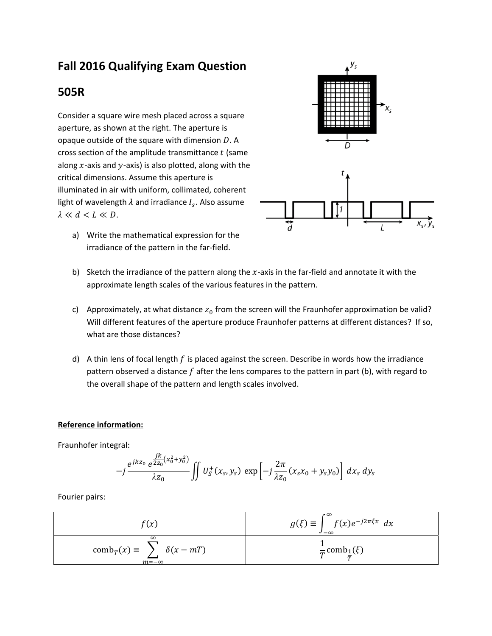# **Fall 2016 Qualifying Exam Question**

## **505R**

Consider a square wire mesh placed across a square aperture, as shown at the right. The aperture is opaque outside of the square with dimension  $D$ . A cross section of the amplitude transmittance  $t$  (same along  $x$ -axis and  $y$ -axis) is also plotted, along with the critical dimensions. Assume this aperture is illuminated in air with uniform, collimated, coherent light of wavelength  $\lambda$  and irradiance  $I_s$ . Also assume  $\lambda \ll d \ll L \ll D$ .

a) Write the mathematical expression for the irradiance of the pattern in the far‐field.



- b) Sketch the irradiance of the pattern along the  $x$ -axis in the far-field and annotate it with the approximate length scales of the various features in the pattern.
- c) Approximately, at what distance  $z_0$  from the screen will the Fraunhofer approximation be valid? Will different features of the aperture produce Fraunhofer patterns at different distances? If so, what are those distances?
- d) A thin lens of focal length  $f$  is placed against the screen. Describe in words how the irradiance pattern observed a distance  $f$  after the lens compares to the pattern in part (b), with regard to the overall shape of the pattern and length scales involved.

#### **Reference information:**

Fraunhofer integral:

$$
-j\frac{e^{jkz_0}e^{\frac{jk}{2z_0}(x_0^2+y_0^2)}}{\lambda z_0}\iint U_s^+(x_s,y_s)\, \exp\left[-j\frac{2\pi}{\lambda z_0}(x_sx_0+y_sv_0)\right]\,dx_s\,dy_s
$$

Fourier pairs:

$$
f(x)
$$
\n
$$
g(\xi) \equiv \int_{-\infty}^{\infty} f(x)e^{-j2\pi\xi x} dx
$$
\n
$$
comb_T(x) \equiv \sum_{m=-\infty}^{\infty} \delta(x - mT)
$$
\n
$$
\frac{1}{T} comb_1(\xi)
$$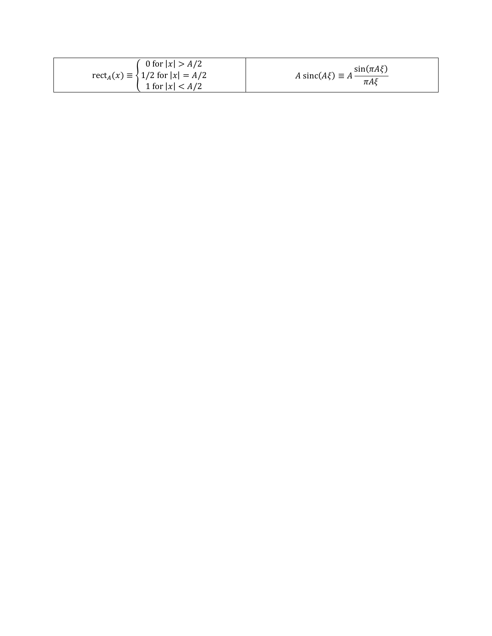| 0 for $ x  > A/2$                                                   |                                                                        |
|---------------------------------------------------------------------|------------------------------------------------------------------------|
| $rect_A(x) \equiv \frac{1}{2}$ for $ x  = A/2$<br>1 for $ x  < A/2$ | $A \operatorname{sinc}(A\xi) \equiv A \frac{\sin(\pi A\xi)}{\pi A\xi}$ |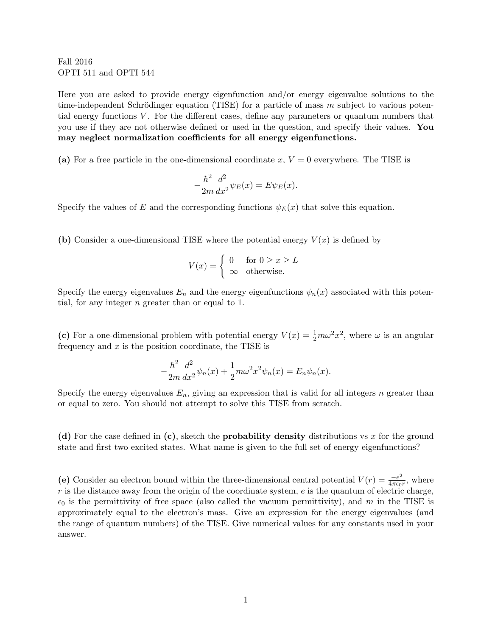Fall 2016 OPTI 511 and OPTI 544

Here you are asked to provide energy eigenfunction and/or energy eigenvalue solutions to the time-independent Schrödinger equation (TISE) for a particle of mass  $m$  subject to various potential energy functions  $V$ . For the different cases, define any parameters or quantum numbers that you use if they are not otherwise defined or used in the question, and specify their values. You may neglect normalization coefficients for all energy eigenfunctions.

(a) For a free particle in the one-dimensional coordinate x,  $V = 0$  everywhere. The TISE is

$$
-\frac{\hbar^2}{2m}\frac{d^2}{dx^2}\psi_E(x) = E\psi_E(x).
$$

Specify the values of E and the corresponding functions  $\psi_E(x)$  that solve this equation.

(b) Consider a one-dimensional TISE where the potential energy  $V(x)$  is defined by

$$
V(x) = \begin{cases} 0 & \text{for } 0 \ge x \ge L \\ \infty & \text{otherwise.} \end{cases}
$$

Specify the energy eigenvalues  $E_n$  and the energy eigenfunctions  $\psi_n(x)$  associated with this potential, for any integer  $n$  greater than or equal to 1.

(c) For a one-dimensional problem with potential energy  $V(x) = \frac{1}{2}m\omega^2 x^2$ , where  $\omega$  is an angular frequency and  $x$  is the position coordinate, the TISE is

$$
-\frac{\hbar^2}{2m}\frac{d^2}{dx^2}\psi_n(x) + \frac{1}{2}m\omega^2 x^2 \psi_n(x) = E_n \psi_n(x).
$$

Specify the energy eigenvalues  $E_n$ , giving an expression that is valid for all integers n greater than or equal to zero. You should not attempt to solve this TISE from scratch.

(d) For the case defined in (c), sketch the **probability density** distributions vs x for the ground state and first two excited states. What name is given to the full set of energy eigenfunctions?

(e) Consider an electron bound within the three-dimensional central potential  $V(r) = \frac{-e^2}{4\pi\epsilon_0}$  $\frac{-e^2}{4\pi\epsilon_0 r}$ , where  $r$  is the distance away from the origin of the coordinate system,  $e$  is the quantum of electric charge,  $\epsilon_0$  is the permittivity of free space (also called the vacuum permittivity), and m in the TISE is approximately equal to the electron's mass. Give an expression for the energy eigenvalues (and the range of quantum numbers) of the TISE. Give numerical values for any constants used in your answer.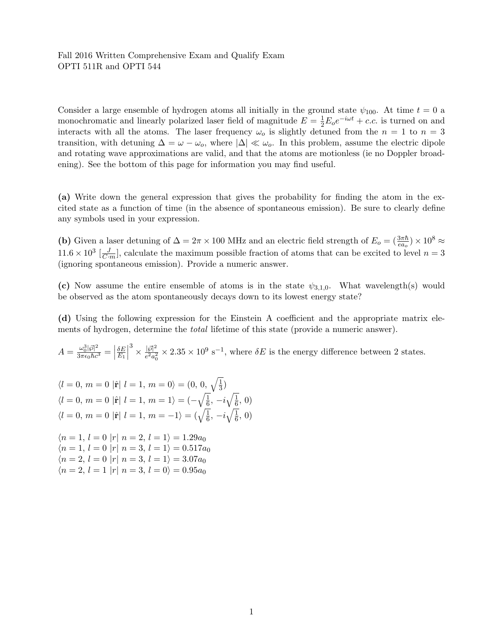#### Fall 2016 Written Comprehensive Exam and Qualify Exam OPTI 511R and OPTI 544

Consider a large ensemble of hydrogen atoms all initially in the ground state  $\psi_{100}$ . At time  $t = 0$  a monochromatic and linearly polarized laser field of magnitude  $E = \frac{1}{2}E_0e^{-i\omega t} + c.c.$  is turned on and interacts with all the atoms. The laser frequency  $\omega_o$  is slightly detuned from the  $n = 1$  to  $n = 3$ transition, with detuning  $\Delta = \omega - \omega_o$ , where  $|\Delta| \ll \omega_o$ . In this problem, assume the electric dipole and rotating wave approximations are valid, and that the atoms are motionless (ie no Doppler broadening). See the bottom of this page for information you may find useful.

(a) Write down the general expression that gives the probability for finding the atom in the excited state as a function of time (in the absence of spontaneous emission). Be sure to clearly define any symbols used in your expression.

(b) Given a laser detuning of  $\Delta = 2\pi \times 100$  MHz and an electric field strength of  $E_o = (\frac{3\pi\hbar}{ea_o}) \times 10^8 \approx$  $11.6 \times 10^3 \left[\frac{J}{C \cdot m}\right]$ , calculate the maximum possible fraction of atoms that can be excited to level  $n = 3$ (ignoring spontaneous emission). Provide a numeric answer.

(c) Now assume the entire ensemble of atoms is in the state  $\psi_{3,1,0}$ . What wavelength(s) would be observed as the atom spontaneously decays down to its lowest energy state?

(d) Using the following expression for the Einstein A coefficient and the appropriate matrix elements of hydrogen, determine the total lifetime of this state (provide a numeric answer).

 $A = \frac{\omega_0^3 |\vec{\wp}|^2}{3\pi\epsilon_0\hbar c^3} =$  $\delta E$  $E_1$   $\frac{3}{\times} \frac{|\vec{\wp}|^2}{\hat{\rho}^2}$  $\frac{|\vec{\wp}|^2}{e^2 a_0^2} \times 2.35 \times 10^9 \text{ s}^{-1}$ , where  $\delta E$  is the energy difference between 2 states.

$$
\langle l = 0, m = 0 | \hat{\mathbf{r}} | l = 1, m = 0 \rangle = (0, 0, \sqrt{\frac{1}{3}})
$$
  
\n
$$
\langle l = 0, m = 0 | \hat{\mathbf{r}} | l = 1, m = 1 \rangle = (-\sqrt{\frac{1}{6}}, -i\sqrt{\frac{1}{6}}, 0)
$$
  
\n
$$
\langle l = 0, m = 0 | \hat{\mathbf{r}} | l = 1, m = -1 \rangle = (\sqrt{\frac{1}{6}}, -i\sqrt{\frac{1}{6}}, 0)
$$
  
\n
$$
\langle n = 1, l = 0 | r | n = 2, l = 1 \rangle = 1.29a_0
$$
  
\n
$$
\langle n = 1, l = 0 | r | n = 3, l = 1 \rangle = 0.517a_0
$$
  
\n
$$
\langle n = 2, l = 0 | r | n = 3, l = 1 \rangle = 3.07a_0
$$
  
\n
$$
\langle n = 2, l = 1 | r | n = 3, l = 0 \rangle = 0.95a_0
$$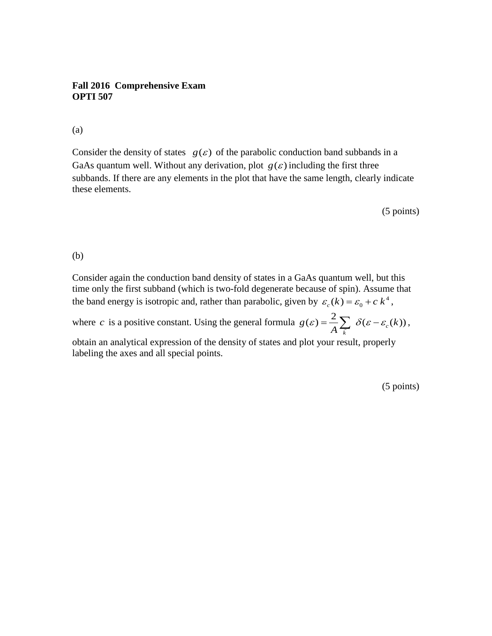## **Fall 2016 Comprehensive Exam OPTI 507**

## (a)

Consider the density of states  $g(\varepsilon)$  of the parabolic conduction band subbands in a GaAs quantum well. Without any derivation, plot  $g(\varepsilon)$  including the first three subbands. If there are any elements in the plot that have the same length, clearly indicate these elements.

(5 points)

### (b)

Consider again the conduction band density of states in a GaAs quantum well, but this time only the first subband (which is two-fold degenerate because of spin). Assume that the band energy is isotropic and, rather than parabolic, given by  $\varepsilon_c(k) = \varepsilon_0 + c k^4$ ,

where *c* is a positive constant. Using the general formula  $g(\varepsilon) = \frac{2}{4} \sum \delta(\varepsilon - \varepsilon_c(k))$  $g(\varepsilon) = \frac{2}{A} \sum_{\vec{k}} \delta(\varepsilon - \varepsilon_c(k)),$ 

obtain an analytical expression of the density of states and plot your result, properly labeling the axes and all special points.

(5 points)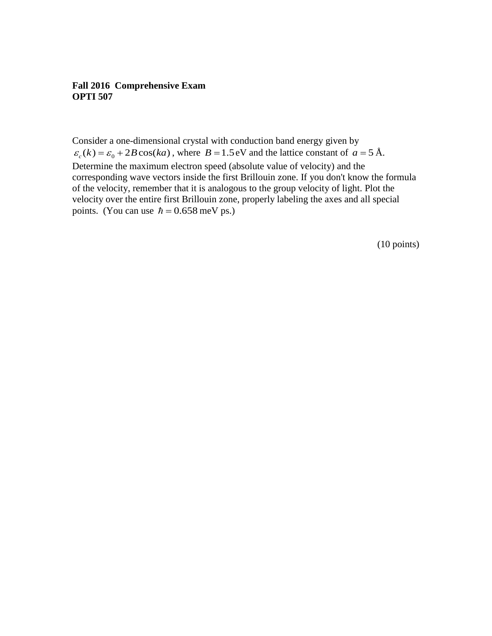## **Fall 2016 Comprehensive Exam OPTI 507**

Consider a one-dimensional crystal with conduction band energy given by  $\varepsilon_c(k) = \varepsilon_0 + 2B\cos(ka)$ , where  $B = 1.5$  eV and the lattice constant of  $a = 5 \text{ Å}$ . Determine the maximum electron speed (absolute value of velocity) and the corresponding wave vectors inside the first Brillouin zone. If you don't know the formula of the velocity, remember that it is analogous to the group velocity of light. Plot the velocity over the entire first Brillouin zone, properly labeling the axes and all special points. (You can use  $\hbar = 0.658$  meV ps.)

(10 points)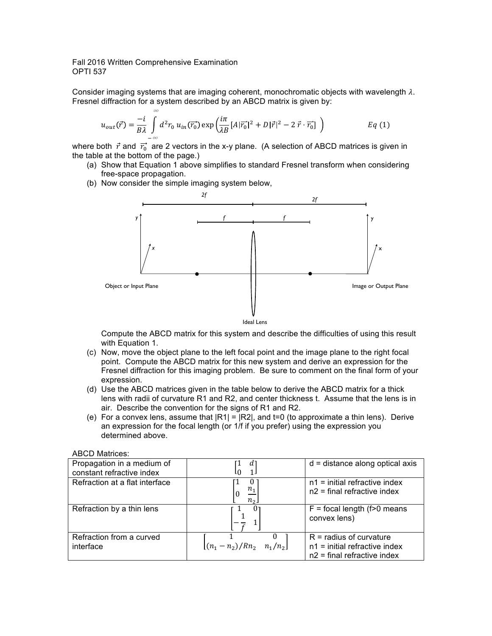#### Fall 2016 Written Comprehensive Examination OPTI 537

∞

Consider imaging systems that are imaging coherent, monochromatic objects with wavelength  $\lambda$ . Fresnel diffraction for a system described by an ABCD matrix is given by:

$$
u_{out}(\vec{r}) = \frac{-i}{B\lambda} \int_{-\infty} d^2 r_0 u_{in}(\vec{r_0}) \exp\left(\frac{i\pi}{\lambda B} \left[A|\vec{r_0}|^2 + D|\vec{r}|^2 - 2\,\vec{r}\cdot\vec{r_0}\right]\right) \qquad Eq(1)
$$

where both  $\vec{r}$  and  $\vec{r_0}$  are 2 vectors in the x-y plane. (A selection of ABCD matrices is given in the table at the bottom of the page.)

- (a) Show that Equation 1 above simplifies to standard Fresnel transform when considering free-space propagation.
- (b) Now consider the simple imaging system below,



Compute the ABCD matrix for this system and describe the difficulties of using this result with Equation 1.

- (c) Now, move the object plane to the left focal point and the image plane to the right focal point. Compute the ABCD matrix for this new system and derive an expression for the Fresnel diffraction for this imaging problem. Be sure to comment on the final form of your expression.
- (d) Use the ABCD matrices given in the table below to derive the ABCD matrix for a thick lens with radii of curvature R1 and R2, and center thickness t. Assume that the lens is in air. Describe the convention for the signs of R1 and R2.
- (e) For a convex lens, assume that  $|R1| = |R2|$ , and t=0 (to approximate a thin lens). Derive an expression for the focal length (or 1/f if you prefer) using the expression you determined above.

| <b>ABCD Matrices:</b> |
|-----------------------|
|                       |

| Propagation in a medium of<br>constant refractive index | d                            | $d = distance along optical axis$                                                             |
|---------------------------------------------------------|------------------------------|-----------------------------------------------------------------------------------------------|
| Refraction at a flat interface                          | U<br>10<br>$n_{\mathcal{D}}$ | $n1$ = initial refractive index<br>$n2$ = final refractive index                              |
| Refraction by a thin lens                               |                              | $F =$ focal length (f>0 means<br>convex lens)                                                 |
| Refraction from a curved<br>interface                   | $ (n_1-n_2)/Rn_2 n_1/n_2 $   | $R =$ radius of curvature<br>$n1$ = initial refractive index<br>$n2$ = final refractive index |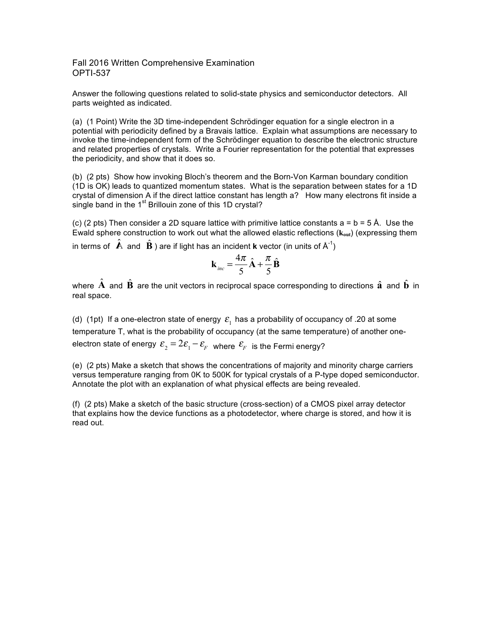Fall 2016 Written Comprehensive Examination OPTI-537

Answer the following questions related to solid-state physics and semiconductor detectors. All parts weighted as indicated.

(a) (1 Point) Write the 3D time-independent Schrödinger equation for a single electron in a potential with periodicity defined by a Bravais lattice. Explain what assumptions are necessary to invoke the time-independent form of the Schrödinger equation to describe the electronic structure and related properties of crystals. Write a Fourier representation for the potential that expresses the periodicity, and show that it does so.

(b) (2 pts) Show how invoking Bloch's theorem and the Born-Von Karman boundary condition (1D is OK) leads to quantized momentum states. What is the separation between states for a 1D crystal of dimension A if the direct lattice constant has length a? How many electrons fit inside a single band in the  $1<sup>st</sup>$  Brillouin zone of this 1D crystal?

(c) (2 pts) Then consider a 2D square lattice with primitive lattice constants  $a = b = 5 \text{ Å}$ . Use the Ewald sphere construction to work out what the allowed elastic reflections (**kout**) (expressing them

in terms of  $\hat{\mathbf{A}}$  and  $\hat{\mathbf{B}}$  ) are if light has an incident **k** vector (in units of  $\mathsf{A}^{\text{-}1}$ )

$$
\mathbf{k}_{inc} = \frac{4\pi}{5}\hat{\mathbf{A}} + \frac{\pi}{5}\hat{\mathbf{B}}
$$

where  $\vec{A}$  and  $\vec{B}$  are the unit vectors in reciprocal space corresponding to directions  $\hat{a}$  and  $\hat{b}$  in real space.

(d) (1pt) If a one-electron state of energy  $\varepsilon_1$  has a probability of occupancy of .20 at some temperature T, what is the probability of occupancy (at the same temperature) of another oneelectron state of energy  $\varepsilon_2 = 2\varepsilon_1 - \varepsilon_F$  where  $\varepsilon_F$  is the Fermi energy?

(e) (2 pts) Make a sketch that shows the concentrations of majority and minority charge carriers versus temperature ranging from 0K to 500K for typical crystals of a P-type doped semiconductor. Annotate the plot with an explanation of what physical effects are being revealed.

(f) (2 pts) Make a sketch of the basic structure (cross-section) of a CMOS pixel array detector that explains how the device functions as a photodetector, where charge is stored, and how it is read out.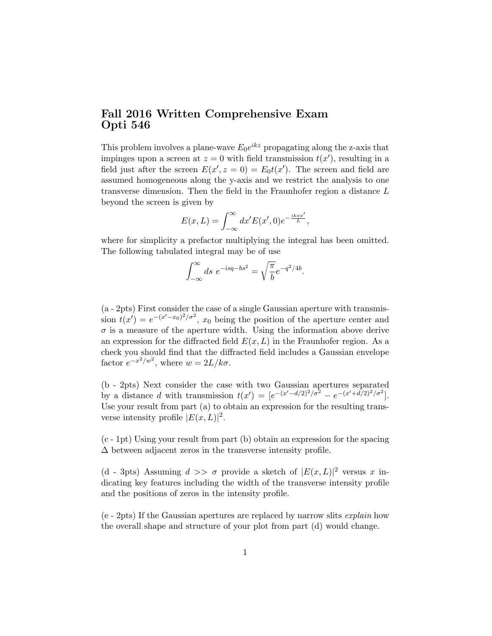## Fall 2016 Written Comprehensive Exam Opti 546

This problem involves a plane-wave  $E_0 e^{ikz}$  propagating along the z-axis that impinges upon a screen at  $z = 0$  with field transmission  $t(x')$ , resulting in a field just after the screen  $E(x', z = 0) = E_0 t(x')$ . The screen and field are assumed homogeneous along the y-axis and we restrict the analysis to one transverse dimension. Then the field in the Fraunhofer region a distance L beyond the screen is given by

$$
E(x,L) = \int_{-\infty}^{\infty} dx' E(x',0) e^{-\frac{ikxx'}{L}},
$$

where for simplicity a prefactor multiplying the integral has been omitted. The following tabulated integral may be of use

$$
\int_{-\infty}^{\infty} ds \ e^{-isq - bs^2} = \sqrt{\frac{\pi}{b}} e^{-q^2/4b}.
$$

(a - 2pts) First consider the case of a single Gaussian aperture with transmission  $t(x') = e^{-(x'-x_0)^2/\sigma^2}$ ,  $x_0$  being the position of the aperture center and  $\sigma$  is a measure of the aperture width. Using the information above derive an expression for the diffracted field  $E(x, L)$  in the Fraunhofer region. As a check you should find that the diffracted field includes a Gaussian envelope factor  $e^{-x^2/w^2}$ , where  $w = 2L/k\sigma$ .

(b - 2pts) Next consider the case with two Gaussian apertures separated by a distance d with transmission  $t(x') = [e^{-(x'-d/2)^2/\sigma^2} - e^{-(x'+d/2)^2/\sigma^2}]$ . Use your result from part (a) to obtain an expression for the resulting transverse intensity profile  $|E(x,L)|^2$ .

(c - 1pt) Using your result from part (b) obtain an expression for the spacing  $\Delta$  between adjacent zeros in the transverse intensity profile.

(d - 3pts) Assuming  $d \gg \sigma$  provide a sketch of  $|E(x,L)|^2$  versus x indicating key features including the width of the transverse intensity profile and the positions of zeros in the intensity profile.

(e - 2pts) If the Gaussian apertures are replaced by narrow slits explain how the overall shape and structure of your plot from part (d) would change.